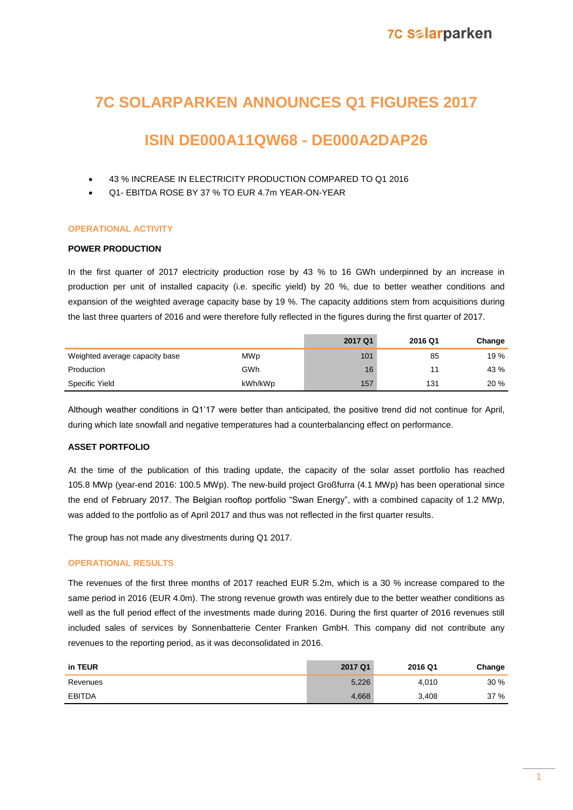# **7C SOLARPARKEN ANNOUNCES Q1 FIGURES 2017**

# **ISIN DE000A11QW68 - DE000A2DAP26**

- 43 % INCREASE IN ELECTRICITY PRODUCTION COMPARED TO Q1 2016
- Q1- EBITDA ROSE BY 37 % TO EUR 4.7m YEAR-ON-YEAR

# **OPERATIONAL ACTIVITY**

# **POWER PRODUCTION**

In the first quarter of 2017 electricity production rose by 43 % to 16 GWh underpinned by an increase in production per unit of installed capacity (i.e. specific yield) by 20 %, due to better weather conditions and expansion of the weighted average capacity base by 19 %. The capacity additions stem from acquisitions during the last three quarters of 2016 and were therefore fully reflected in the figures during the first quarter of 2017.

|                                |            | 2017 Q1 | 2016 Q1 | Change |
|--------------------------------|------------|---------|---------|--------|
| Weighted average capacity base | <b>MWp</b> | 101     | 85      | 19 %   |
| Production                     | GWh        | 16      |         | 43 %   |
| Specific Yield                 | kWh/kWp    | 157     | 131     | 20%    |

Although weather conditions in Q1'17 were better than anticipated, the positive trend did not continue for April, during which late snowfall and negative temperatures had a counterbalancing effect on performance.

# **ASSET PORTFOLIO**

At the time of the publication of this trading update, the capacity of the solar asset portfolio has reached 105.8 MWp (year-end 2016: 100.5 MWp). The new-build project Großfurra (4.1 MWp) has been operational since the end of February 2017. The Belgian rooftop portfolio "Swan Energy", with a combined capacity of 1.2 MWp, was added to the portfolio as of April 2017 and thus was not reflected in the first quarter results.

The group has not made any divestments during Q1 2017.

## **OPERATIONAL RESULTS**

The revenues of the first three months of 2017 reached EUR 5.2m, which is a 30 % increase compared to the same period in 2016 (EUR 4.0m). The strong revenue growth was entirely due to the better weather conditions as well as the full period effect of the investments made during 2016. During the first quarter of 2016 revenues still included sales of services by Sonnenbatterie Center Franken GmbH. This company did not contribute any revenues to the reporting period, as it was deconsolidated in 2016.

| in TEUR       | 2017 Q1 | 2016 Q1 | Change |
|---------------|---------|---------|--------|
| Revenues      | 5,226   | 4.010   | 30%    |
| <b>EBITDA</b> | 4,668   | 3,408   | 37 %   |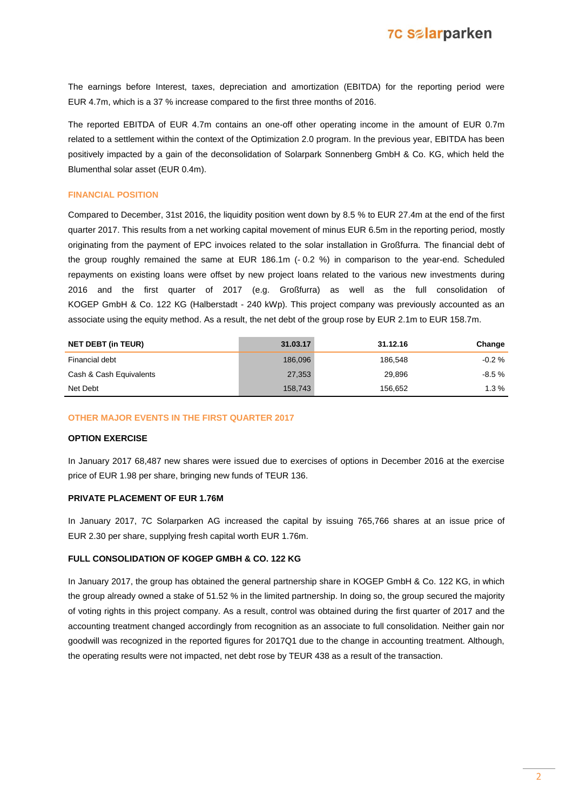The earnings before Interest, taxes, depreciation and amortization (EBITDA) for the reporting period were EUR 4.7m, which is a 37 % increase compared to the first three months of 2016.

The reported EBITDA of EUR 4.7m contains an one-off other operating income in the amount of EUR 0.7m related to a settlement within the context of the Optimization 2.0 program. In the previous year, EBITDA has been positively impacted by a gain of the deconsolidation of Solarpark Sonnenberg GmbH & Co. KG, which held the Blumenthal solar asset (EUR 0.4m).

### **FINANCIAL POSITION**

Compared to December, 31st 2016, the liquidity position went down by 8.5 % to EUR 27.4m at the end of the first quarter 2017. This results from a net working capital movement of minus EUR 6.5m in the reporting period, mostly originating from the payment of EPC invoices related to the solar installation in Großfurra. The financial debt of the group roughly remained the same at EUR 186.1m (-0.2 %) in comparison to the year-end. Scheduled repayments on existing loans were offset by new project loans related to the various new investments during 2016 and the first quarter of 2017 (e.g. Großfurra) as well as the full consolidation of KOGEP GmbH & Co. 122 KG (Halberstadt - 240 kWp). This project company was previously accounted as an associate using the equity method. As a result, the net debt of the group rose by EUR 2.1m to EUR 158.7m.

| <b>NET DEBT (in TEUR)</b> | 31.03.17 | 31.12.16 | Change   |
|---------------------------|----------|----------|----------|
| Financial debt            | 186,096  | 186.548  | $-0.2\%$ |
| Cash & Cash Equivalents   | 27,353   | 29.896   | -8.5 %   |
| Net Debt                  | 158,743  | 156,652  | $1.3\%$  |

#### **OTHER MAJOR EVENTS IN THE FIRST QUARTER 2017**

#### **OPTION EXERCISE**

In January 2017 68,487 new shares were issued due to exercises of options in December 2016 at the exercise price of EUR 1.98 per share, bringing new funds of TEUR 136.

# **PRIVATE PLACEMENT OF EUR 1.76M**

In January 2017, 7C Solarparken AG increased the capital by issuing 765,766 shares at an issue price of EUR 2.30 per share, supplying fresh capital worth EUR 1.76m.

#### **FULL CONSOLIDATION OF KOGEP GMBH & CO. 122 KG**

In January 2017, the group has obtained the general partnership share in KOGEP GmbH & Co. 122 KG, in which the group already owned a stake of 51.52 % in the limited partnership. In doing so, the group secured the majority of voting rights in this project company. As a result, control was obtained during the first quarter of 2017 and the accounting treatment changed accordingly from recognition as an associate to full consolidation. Neither gain nor goodwill was recognized in the reported figures for 2017Q1 due to the change in accounting treatment. Although, the operating results were not impacted, net debt rose by TEUR 438 as a result of the transaction.